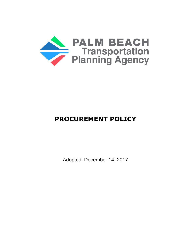

# **PROCUREMENT POLICY**

Adopted: December 14, 2017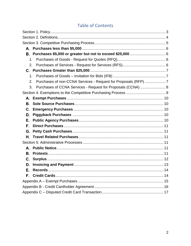# **Table of Contents**

<span id="page-1-0"></span>

| 1.             |                                                                |  |
|----------------|----------------------------------------------------------------|--|
| 2.             |                                                                |  |
|                |                                                                |  |
| 1.             |                                                                |  |
| 2.             | Purchases of non-CCNA Services - Request for Proposals (RFP) 7 |  |
| 3.             | Purchases of CCNA Services - Request for Proposals (CCNA)  8   |  |
|                |                                                                |  |
|                |                                                                |  |
| В.             |                                                                |  |
| $\mathbf{C}$ . |                                                                |  |
| D.             |                                                                |  |
| Е.             |                                                                |  |
| F.             |                                                                |  |
| G.             |                                                                |  |
| Н.             |                                                                |  |
|                |                                                                |  |
|                |                                                                |  |
| В.             |                                                                |  |
| C.             |                                                                |  |
| D.             |                                                                |  |
| È.             |                                                                |  |
| F.             |                                                                |  |
|                |                                                                |  |
|                |                                                                |  |
|                |                                                                |  |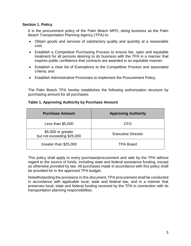#### **Section 1. Policy**

It is the procurement policy of the Palm Beach MPO, doing business as the Palm Beach Transportation Planning Agency (TPA) to:

- Obtain goods and services of satisfactory quality and quantity at a reasonable cost;
- Establish a Competitive Purchasing Process to ensure fair, open and equitable treatment for all persons desiring to do business with the TPA in a manner that inspires public confidence that contracts are awarded in an equitable manner;
- Establish a clear list of Exemptions to the Competitive Process and associated criteria; and
- Establish Administrative Processes to implement the Procurement Policy.

The Palm Beach TPA hereby establishes the following authorization structure by purchasing amount for all purchases.

#### **Table 1. Approving Authority by Purchase Amount**

| <b>Purchase Amount</b>                           | <b>Approving Authority</b> |
|--------------------------------------------------|----------------------------|
| Less than $$5,000$                               | CFO                        |
| \$5,000 or greater<br>but not exceeding \$25,000 | <b>Executive Director</b>  |
| Greater than \$25,000                            | <b>TPA Board</b>           |

This policy shall apply to every purchase/procurement and sale by the TPA without regard to the source of funds, including state and federal assistance funding, except as otherwise provided by law. All purchases made in accordance with this policy shall be provided for in the approved TPA budget.

Notwithstanding the provisions in this document, TPA procurement shall be conducted in accordance with applicable local, state and federal law, and in a manner that preserves local, state and federal funding received by the TPA in connection with its transportation planning responsibilities.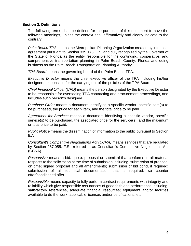#### <span id="page-3-0"></span>**Section 2. Definitions**

The following terms shall be defined for the purposes of this document to have the following meanings, unless the context shall affirmatively and clearly indicate to the contrary:

*Palm Beach TPA* means the Metropolitan Planning Organization created by interlocal agreement pursuant to Section 339.175, F.S. and duly recognized by the Governor of the State of Florida as the entity responsible for the continuing, cooperative, and comprehensive transportation planning in Palm Beach County, Florida and doing business as the Palm Beach Transportation Planning Authority.

*TPA Board* means the governing board of the Palm Beach TPA.

*Executive Director* means the chief executive officer of the TPA including his/her designee, responsible for the carrying out of the policies of the TPA Board.

*Chief Financial Officer (CFO)* means the person designated by the Executive Director to be responsible for overseeing TPA contracting and procurement proceedings, and includes such person's designee.

*Purchase Order* means a document identifying a specific vendor, specific item(s) to be purchased, the price for each item, and the total price to be paid.

*Agreement for Services* means a document identifying a specific vendor, specific service(s) to be purchased, the associated price for the service(s), and the maximum or total price to be paid.

*Public Notice* means the dissemination of information to the public pursuant to Section 5.A.

*Consultant's Competitive Negotiations Act (CCNA)* means services that are regulated by Section 287.055, F.S., referred to as Consultant's Competitive Negotiations Act (CCNA).

*Responsive* means a bid, quote, proposal or submittal that conforms in all material respects to the solicitation at the time of submission including: submission of proposal on time; signed proposal and all amendments; submission of bid bond, if required; submission of all technical documentation that is required; so counter offer/conditioned offer.

*Responsible* means capacity to fully perform contract requirements with integrity and reliability which give responsible assurances of good faith and performance including: satisfactory references, adequate financial resources; equipment and/or facilities available to do the work; applicable licenses and/or certifications, etc.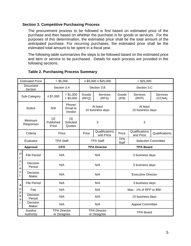#### <span id="page-4-0"></span>**Section 3. Competitive Purchasing Process**

The procurement process to be followed is first based on estimated price of the purchase and then based on whether the purchase is for goods or services. For the purposes of this determination, the estimated price shall be the total amount of the anticipated purchase. For recurring purchases, the estimated price shall be the estimated total amount to be spent in a fiscal year.

The following table summarizes the steps to be followed based on the estimated price and item or service to be purchased. Details for each process are provided in the following sections.

| <b>Estimated Price</b>                             |                    | $<$ \$5,000                        |                              | $\ge$ \$5,000 $\le$ \$25,000                                 |                                    | > \$25,000                                               |                             |                           |
|----------------------------------------------------|--------------------|------------------------------------|------------------------------|--------------------------------------------------------------|------------------------------------|----------------------------------------------------------|-----------------------------|---------------------------|
| Document<br>Section                                |                    | Section 3.A                        |                              | Section 3.B                                                  |                                    | Section 3.C                                              |                             |                           |
|                                                    | Sub-Category       | $≤$ \$1,000                        | > \$1,000<br>$<$ \$5,000     | Goods<br>(RFQ)                                               | <b>Services</b><br>(RFS)           | Goods<br>(IFB)                                           | <b>Services</b><br>(RFP)    | <b>Services</b><br>(CCNA) |
| <b>Notice</b>                                      |                    | N/A                                | Phone/<br>Email to<br>Vendor | At least<br>At least<br>10 business days<br>15 business days |                                    |                                                          |                             |                           |
| Minimum<br>Responses                               |                    | (2)<br>Published<br>Price          | (3)<br>Solicited<br>Quotes   |                                                              | 3                                  | 3                                                        |                             |                           |
|                                                    | Criteria           | Price                              |                              | Price                                                        | Qualifications<br>and Price        | Price                                                    | Qualifications<br>and Price | Qualifications            |
| Evaluator                                          |                    | <b>TPA Staff</b>                   |                              |                                                              | <b>TPA Staff</b>                   | <b>TPA</b><br><b>Selection Committee</b><br><b>Staff</b> |                             |                           |
| Approval                                           |                    | <b>CFO</b>                         |                              |                                                              | <b>TPA Director</b>                | <b>TPA Board</b>                                         |                             |                           |
| ${\sf P}$<br>$\mathsf{r}$<br>o<br>t<br>е<br>s<br>t | <b>File Period</b> | N/A                                |                              |                                                              | N/A                                | 5 business days                                          |                             |                           |
|                                                    | Decision<br>Period | N/A                                |                              |                                                              | N/A                                | 5 business days                                          |                             |                           |
|                                                    | Decision<br>Maker  | N/A                                |                              |                                                              | N/A                                | <b>Executive Director</b>                                |                             |                           |
| A<br>p<br>p<br>е<br>a                              | <b>File Period</b> | N/A                                |                              |                                                              | N/A                                | 3 business days                                          |                             |                           |
|                                                    | Fee                | N/A                                |                              |                                                              | N/A                                | Max - 1% of RFP or \$5K                                  |                             |                           |
|                                                    | Decision<br>Period | N/A                                |                              |                                                              | N/A                                | 15 business days                                         |                             |                           |
|                                                    | Decision<br>Maker  | N/A                                |                              |                                                              | N/A                                | <b>Appeal Committee</b>                                  |                             |                           |
| Surplus<br>Authority                               |                    | <b>TPA Director</b><br>or Designee |                              |                                                              | <b>TPA Director</b><br>or Designee |                                                          | <b>TPA Board</b>            |                           |

#### **Table 2. Purchasing Process Summary**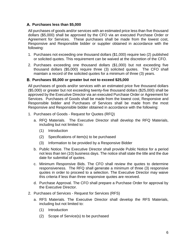# <span id="page-5-0"></span>**Purchases less than \$5,000**

All purchases of goods and/or services with an estimated price less than five thousand dollars (\$5,000) shall be approved by the CFO via an executed Purchase Order or Agreement for Services. These purchases shall be made from the lowest cost, Responsive and Responsible bidder or supplier obtained in accordance with the following:

- 1. Purchases not exceeding one thousand dollars (\$1,000) require two (2) published or solicited quotes. This requirement can be waived at the discretion of the CFO.
- 2. Purchases exceeding one thousand dollars (\$1,000) but not exceeding five thousand dollars (\$5,000) require three (3) solicited quotes. The CFO shall maintain a record of the solicited quotes for a minimum of three (3) years.

#### <span id="page-5-1"></span>**Purchases \$5,000 or greater but not to exceed \$25,000**

All purchases of goods and/or services with an estimated price five thousand dollars (\$5,000) or greater but not exceeding twenty-five thousand dollars (\$25,000) shall be approved by the Executive Director via an executed Purchase Order or Agreement for Services. Purchases of Goods shall be made from the lowest cost, Responsive and Responsible bidder and Purchases of Services shall be made from the most Responsive and Responsible bidder obtained in accordance with the following:

- <span id="page-5-2"></span>1. Purchases of Goods - Request for Quotes (RFQ)
	- a. RFQ Materials. The Executive Director shall develop the RFQ Materials, including but not limited to:
		- (1) Introduction
		- (2) Specifications of item(s) to be purchased
		- (3) Information to be provided by a Responsive Bidder
	- b. Public Notice. The Executive Director shall provide Public Notice for a period not less than ten (10) business days. The notice shall state the title and the due date for submittal of quotes.
	- c. Minimum Responsive Bids. The CFO shall review the quotes to determine responsiveness. The RFQ shall generate a minimum of three (3) responsive quotes in order to proceed to a selection. The Executive Director may waive this criteria if less than three responsive quotes are received.
	- d. Purchase Approval. The CFO shall prepare a Purchase Order for approval by the Executive Director.
- <span id="page-5-3"></span>2. Purchases of Services - Request for Services (RFS)
	- a. RFS Materials. The Executive Director shall develop the RFS Materials, including but not limited to:
		- (1) Introduction
		- (2) Scope of Service(s) to be purchased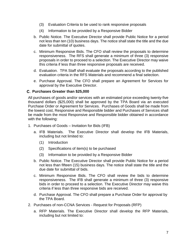- (3) Evaluation Criteria to be used to rank responsive proposals
- (4) Information to be provided by a Responsive Bidder
- b. Public Notice. The Executive Director shall provide Public Notice for a period not less than ten (10) business days. The notice shall state the title and the due date for submittal of quotes.
- c. Minimum Responsive Bids. The CFO shall review the proposals to determine responsiveness. The RFS shall generate a minimum of three (3) responsive proposals in order to proceed to a selection. The Executive Director may waive this criteria if less than three responsive proposals are received.
- d. Evaluation. TPA Staff shall evaluate the proposals according to the published evaluation criteria in the RFS Materials and recommend a final selection.
- e. Purchase Approval. The CFO shall prepare an Agreement for Services for approval by the Executive Director.

#### <span id="page-6-0"></span>**Purchases Greater than \$25,000**

All purchases of goods and/or services with an estimated price exceeding twenty-five thousand dollars (\$25,000) shall be approved by the TPA Board via an executed Purchase Order or Agreement for Services. Purchases of Goods shall be made from the lowest cost, Responsive and Responsible bidder and Purchases of Services shall be made from the most Responsive and Responsible bidder obtained in accordance with the following:

- <span id="page-6-1"></span>1. Purchases of Goods – Invitation for Bids (IFB)
	- a. IFB Materials. The Executive Director shall develop the IFB Materials, including but not limited to:
		- (1) Introduction
		- (2) Specifications of item(s) to be purchased
		- (3) Information to be provided by a Responsive Bidder
	- b. Public Notice. The Executive Director shall provide Public Notice for a period not less than fifteen (15) business days. The notice shall state the title and the due date for submittal of bids.
	- c. Minimum Responsive Bids. The CFO shall review the bids to determine responsiveness. The IFB shall generate a minimum of three (3) responsive bids in order to proceed to a selection. The Executive Director may waive this criteria if less than three responsive bids are received.
	- d. Purchase Approval. The CFO shall prepare a Purchase Order for approval by the TPA Board.
- <span id="page-6-2"></span>2. Purchases of non-CCNA Services - Request for Proposals (RFP)
	- a. RFP Materials. The Executive Director shall develop the RFP Materials, including but not limited to: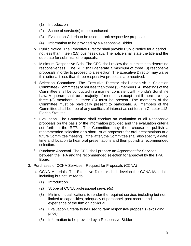- (1) Introduction
- (2) Scope of service(s) to be purchased
- (3) Evaluation Criteria to be used to rank responsive proposals
- (4) Information to be provided by a Responsive Bidder
- b. Public Notice. The Executive Director shall provide Public Notice for a period not less than fifteen (15) business days. The notice shall state the title and the due date for submittal of proposals.
- c. Minimum Responsive Bids. The CFO shall review the submittals to determine responsiveness. The RFP shall generate a minimum of three (3) responsive proposals in order to proceed to a selection. The Executive Director may waive this criteria if less than three responsive proposals are received.
- d. Selection Committee. The Executive Director shall establish a Selection Committee (Committee) of not less than three (3) members. All meetings of the Committee shall be conducted in a manner consistent with Florida's Sunshine Law. A quorum shall be a majority of members except that if there are only three (3) members, all three (3) must be present. The members of the Committee must be physically present to participate. All members of the Committee shall be free of any conflicts of interest as set forth in Chapter 112, Florida Statutes.
- e. Evaluation. The Committee shall conduct an evaluation of all Responsive proposals on the basis of the information provided and the evaluation criteria set forth in the RFP. The Committee may then choose to publish a recommended selection or a short list of proposers for oral presentations at a future Committee meeting. If the latter, the Committee shall also specify a date, time and location to hear oral presentations and then publish a recommended selection.
- f. Purchase Approval. The CFO shall prepare an Agreement for Services between the TPA and the recommended selection for approval by the TPA Board.
- <span id="page-7-0"></span>3. Purchases of CCNA Services - Request for Proposals (CCNA)
	- a. CCNA Materials. The Executive Director shall develop the CCNA Materials, including but not limited to:
		- (1) Introduction
		- (2) Scope of CCNA professional service(s)
		- (3) Minimum qualifications to render the required service, including but not limited to capabilities, adequacy of personnel, past record, and experience of the firm or individual
		- (4) Evaluation Criteria to be used to rank responsive proposals (excluding price)
		- (5) Information to be provided by a Responsive Bidder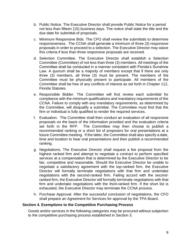- b. Public Notice. The Executive Director shall provide Public Notice for a period not less than fifteen (15) business days. The notice shall state the title and the due date for submittal of proposals.
- c. Minimum Responsive Bids. The CFO shall review the submittals to determine responsiveness. The CCNA shall generate a minimum of three (3) responsive proposals in order to proceed to a selection. The Executive Director may waive this criteria if less than three responsive proposals are received.
- d. Selection Committee. The Executive Director shall establish a Selection Committee (Committee) of not less than three (3) members. All meetings of the Committee shall be conducted in a manner consistent with Florida's Sunshine Law. A quorum shall be a majority of members except that if there are only three (3) members, all three (3) must be present. The members of the Committee must be physically present to participate. All members of the Committee shall be free of any conflicts of interest as set forth in Chapter 112, Florida Statutes.
- e. Responsible Bidder. The Committee will first review each submittal for compliance with the minimum qualifications and mandatory requirements of the CCNA. Failure to comply with any mandatory requirements, as determined by the Committee, will disqualify a submittal. The Committee must find that the firm or individual is fully qualified to render the required services.
- f. Evaluation. The Committee shall then conduct an evaluation of all responsive proposals on the basis of the information provided and the evaluation criteria set forth in the RFP. The Committee may then choose to publish a recommended ranking or a short list of proposers for oral presentations at a future Committee meeting. If the latter, the Committee shall also specify a date, time and location to hear oral presentations and then publish a recommended ranking.
- g. Negotiations. The Executive Director shall request a fee proposal from the highest ranked firm and attempt to negotiate a contract to perform specified services at a compensation that is determined by the Executive Director to be fair, competitive and reasonable. Should the Executive Director be unable to negotiate a satisfactory agreement with the top-ranked firm, the Executive Director will formally terminate negotiations with that firm and undertake negotiations with the second-ranked firm. Failing accord with the secondranked firm, the Executive Director will formally terminate negotiations with that firm and undertake negotiations with the third-ranked firm. If the short list is exhausted, the Executive Director may terminate the CCNA process.
- h. Purchase Approval. After the successful conclusion of negotiations, the CFO shall prepare an Agreement for Services for approval by the TPA Board.

#### <span id="page-8-0"></span>**Section 4. Exemptions to the Competitive Purchasing Process**

Goods and/or services in the following categories may be procured without subjection to the competitive purchasing process established in Section 3.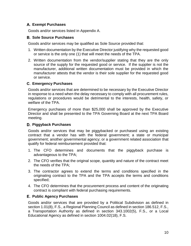# <span id="page-9-0"></span>**Exempt Purchases**

Goods and/or services listed in Appendix A.

# <span id="page-9-1"></span>**Sole Source Purchases**

Goods and/or services may be qualified as Sole Source provided that:

- 1. Written documentation by the Executive Director justifying why the requested good or service is the only one (1) that will meet the needs of the TPA.
- 2. Written documentation from the vendor/supplier stating that they are the only source of the supply for the requested good or service. If the supplier is not the manufacturer, additional written documentation must be provided in which the manufacturer attests that the vendor is their sole supplier for the requested good or service.

# <span id="page-9-2"></span>**Emergency Purchases**

Goods and/or services that are determined to be necessary by the Executive Director in response to a need when the delay necessary to comply with all procurement rules, regulations or procedures would be detrimental to the interests, health, safety, or welfare of the TPA.

Emergency purchases of more than \$25,000 shall be approved by the Executive Director and shall be presented to the TPA Governing Board at the next TPA Board meeting.

# <span id="page-9-3"></span>**Piggyback Purchases**

Goods and/or services that may be piggybacked or purchased using an existing contract that a vendor has with the federal government; a state or municipal government; another governmental agency; or a government related association that qualify for federal reimbursement provided that:

- 1. The CFO determines and documents that the piggyback purchase is advantageous to the TPA;
- 2. The CFO verifies that the original scope, quantity and nature of the contract meet the needs of the TPA;
- 3. The contractor agrees to extend the terms and conditions specified in the originating contract to the TPA and the TPA accepts the terms and conditions specified;
- 4. The CFO determines that the procurement process and content of the originating contract is compliant with federal purchasing requirements.

# <span id="page-9-4"></span>**Public Agency Purchases**

Goods and/or services that are provided by a Political Subdivision as defined in section 1.01(8), F.S., a Regional Planning Council as defined in section 186.512, F.S., a Transportation Authority as defined in section 343.1002(5), F.S., or a Local Educational Agency as defined in section 1004.02(18), F.S.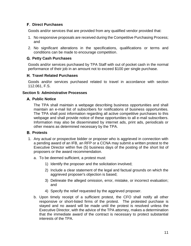## <span id="page-10-0"></span>**Direct Purchases**

Goods and/or services that are provided from any qualified vendor provided that:

- 1. No responsive proposals are received during the Competitive Purchasing Process; and
- 2. No significant alterations in the specifications, qualifications or terms and conditions can be made to encourage competition.

# <span id="page-10-1"></span>**Petty Cash Purchases**

Goods and/or services purchased by TPA Staff with out of pocket cash in the normal performance of their job in an amount not to exceed \$100 per single purchase.

# <span id="page-10-2"></span>**Travel Related Purchases**

Goods and/or services purchased related to travel in accordance with section 112.061, F.S.

# <span id="page-10-3"></span>**Section 5: Administrative Processes**

# <span id="page-10-4"></span>**Public Notice**

The TPA shall maintain a webpage describing business opportunities and shall maintain an e-mail list of subscribers for notifications of business opportunities. The TPA shall post information regarding all active competitive purchases to this webpage and shall provide notice of these opportunities to all e-mail subscribers. Information may also be disseminated by internet ads, print ads, periodicals or other means as determined necessary by the TPA.

#### <span id="page-10-5"></span>**B.** Protests

- 1. Any actual or prospective bidder or proposer who is aggrieved in connection with a pending award of an IFB, an RFP or a CCNA may submit a written protest to the Executive Director within five (5) business days of the posting of the short list of proposers or the award recommendation.
	- a. To be deemed sufficient, a protest must:
		- 1) Identify the proposer and the solicitation involved;
		- 2) Include a clear statement of the legal and factual grounds on which the aggrieved proposer's objection is based;
		- 3) Delineate the alleged omission, error, mistake, or incorrect evaluation; and
		- 4) Specify the relief requested by the aggrieved proposer.
	- b. Upon timely receipt of a sufficient protest, the CFO shall notify all other responsive or short-listed firms of the protest. The protested purchase is stayed and no award will be made until the protest is resolved unless the Executive Director, with the advice of the TPA attorney, makes a determination that the immediate award of the contract is necessary to protect substantial interests of the TPA.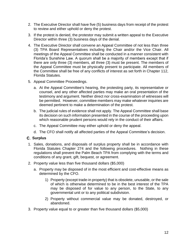- 2. The Executive Director shall have five (5) business days from receipt of the protest to review and either uphold or deny the protest.
- 3. If the protest is denied, the protestor may submit a written appeal to the Executive Director within three (3) business days of the denial.
- 4. The Executive Director shall convene an Appeal Committee of not less than three (3) TPA Board Representatives including the Chair and/or the Vice Chair. All meetings of the Appeal Committee shall be conducted in a manner consistent with Florida's Sunshine Law. A quorum shall be a majority of members except that if there are only three (3) members, all three (3) must be present. The members of the Appeal Committee must be physically present to participate. All members of the Committee shall be free of any conflicts of interest as set forth in Chapter 112, Florida Statutes.
- 5. Appeal Committee Proceedings.
	- a. At the Appeal Committee's hearing, the protesting party, its representative or counsel, and any other affected parties may make an oral presentation of the testimony and argument. Neither direct nor cross-examination of witnesses will be permitted. However, committee members may make whatever inquiries are deemed pertinent to make a determination of the protest.
	- b. The judicial rules of evidence shall not apply. The Appeal Committee shall base its decision on such information presented in the course of the proceeding upon which reasonable prudent persons would rely in the conduct of their affairs.
	- c. The Appeal Committee may either uphold or deny the appeal.
	- d. The CFO shall notify all affected parties of the Appeal Committee's decision.

#### <span id="page-11-0"></span>**Surplus**

- 1. Sales, donations, and disposals of surplus property shall be in accordance with Florida Statutes Chapter 274 and the following procedures. Nothing in these regulations shall prevent the Palm Beach TPA from complying with the terms and conditions of any grant, gift, bequest, or agreement.
- 2. Property value less than five thousand dollars (\$5,000)
	- a. Property may be disposed of in the most efficient and cost-effective means as determined by the CFO.
		- 1) Property (except trade-in property) that is obsolete, unusable, or the sale of which is otherwise determined to be in the best interest of the TPA may be disposed of for value to any person, to the State, to any governmental unit or to any political subdivision.
		- 2) Property without commercial value may be donated, destroyed, or abandoned.
- 3. Property value equal to or greater than five thousand dollars (\$5,000)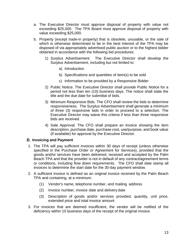- a. The Executive Director must approve disposal of property with value not exceeding \$25,000. The TPA Board must approve disposal of property with value exceeding \$25,000.
- b. Property (except trade-in property) that is obsolete, unusable, or the sale of which is otherwise determined to be in the best interest of the TPA may be disposed of via appropriately advertised public auction or to the highest bidder obtained in accordance with the following bid procedures:
	- 1) Surplus Advertisement. The Executive Director shall develop the Surplus Advertisement, including but not limited to:
		- a) Introduction
		- b) Specifications and quantities of item(s) to be sold
		- c) Information to be provided by a Responsive Bidder
	- 2) Public Notice. The Executive Director shall provide Public Notice for a period not less than ten (10) business days. The notice shall state the title and the due date for submittal of bids.
	- 3) Minimum Responsive Bids. The CFO shall review the bids to determine responsiveness. The Surplus Advertisement shall generate a minimum of three (3) responsive bids in order to proceed to a selection. The Executive Director may waive this criteria if less than three responsive bids are received.
	- 4) Sale Approval. The CFO shall prepare an invoice showing the item description, purchase date, purchase cost, use/purpose, and book value (if available) for approval by the Executive Director.

#### <span id="page-12-0"></span>**Invoicing and Payment**

- 1. The TPA will pay sufficient invoices within 30 days of receipt (unless otherwise specified in the Purchase Order or Agreement for Services), provided that the goods and/or services have been delivered, received and accepted by the Palm Beach TPA and that the provider is not in default of any contract/agreement terms or conditions, including flow down requirements. The CFO shall date stamp all invoices to determine the start date for the 30-day payment window.
- 2. A sufficient invoice is defined as an original invoice received by the Palm Beach TPA and containing, at a minimum:
	- (1) Vendor's name, telephone number, and mailing address
	- (2) Invoice number, invoice date and delivery date
	- (3) Description of goods and/or services provided, quantity, unit price, extended price and total invoice amount
- 3. For invoices that are deemed insufficient, the vendor will be notified of the deficiency within 10 business days of the receipt of the original invoice.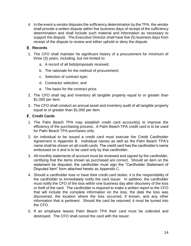4. In the event a vendor disputes the sufficiency determination by the TPA, the vendor shall provide a written dispute within five business days of receipt of the sufficiency determination and shall include such material and information as necessary to support the dispute. The Executive Director shall have five (5) business days from receipt of the dispute to review and either uphold or deny the dispute.

#### <span id="page-13-0"></span>**E.** Records

- 1. The CFO shall maintain he significant history of a procurement for minimum of three (3) years, including, but not limited to:
	- a. A record of all bids/proposals received;
	- b. The rationale for the method of procurement;
	- c. Selection of contract type;
	- d. Contractor selection; and
	- e. The basis for the contract price.
- 2. The CFO shall tag and inventory all tangible property equal to or greater than \$1,000 per item.
- 3. The CFO shall conduct an annual asset and inventory audit of all tangible property equal to or greater than \$1,000 per item.

# <span id="page-13-1"></span>**Credit Cards**

- 1. The Palm Beach TPA may establish credit card account(s) to improve the efficiency of the purchasing process. A Palm Beach TPA credit card is to be used for Palm Beach TPA purchases only.
- 2. An individual to be issued a credit card must execute the Credit Cardholder Agreement in Appendix B. Individual names as well as the Palm Beach TPA's name shall be shown on all credit cards. The credit card has the cardholder's name embossed on it and is to be used only by that cardholder.
- 3. All monthly statements of account must be reviewed and signed by the cardholder, certifying that the items shown as purchased are correct. Should an item on the statement be disputed, the cardholder must sign the "Cardholder Statement of Disputed Item" form attached hereto as Appendix C.
- 4. Should a cardholder lose or have their credit card stolen, it is the responsibility of the cardholder to immediately notify the card issuer. In addition, the cardholder must notify the CFO of the loss within one business day after discovery of the loss or theft of the card. The cardholder is required to make a written report to the CFO that will include the complete information on the loss, the date the loss was discovered, the location where the loss occurred, if known, and any other information that is pertinent. Should the card be returned, it must be turned into the CFO.
- 5. If an employee leaves Palm Beach TPA their card must be collected and destroyed. The CFO shall cancel the card with the issuer.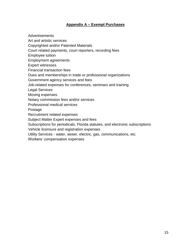# **Appendix A – Exempt Purchases**

<span id="page-14-0"></span>Advertisements

Art and artistic services

Copyrighted and/or Patented Materials

Court related payments, court reporters, recording fees

Employee tuition

Employment agreements

Expert witnesses

Financial transaction fees

Dues and memberships in trade or professional organizations

Government agency services and fees

Job-related expenses for conferences, seminars and training

Legal Services

Moving expenses

Notary commission fees and/or services

Professional medical services

**Postage** 

Recruitment related expenses

Subject Matter Expert expenses and fees

Subscriptions for periodicals, Florida statutes, and electronic subscriptions

Vehicle licensure and registration expenses

Utility Services - water, sewer, electric, gas, communications, etc.

Workers' compensation expenses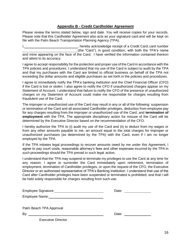#### **Appendix B - Credit Cardholder Agreement**

<span id="page-15-0"></span>Please review the terms stated below, sign and date. You will receive copies for your records. Please note that this Cardholder Agreement also acts as your signature card and will be kept on file with the Palm Beach Transportation Planning Agency (TPA).

I, 1. All 1. The contract of a Credit Card, card number  $I_1$ , hereby acknowledge receipt of a Credit Card, card number (the "Card"), in good condition, with both the TPA's name and mine appearing on the face of the Card. I have verified the information contained thereon and attest to its accuracy.

I agree to accept responsibility for the protection and proper use of the Card in accordance with the TPA policies and procedures. I understand that my use of the Card is subject to audit by the TPA and that my purchases with the Card are limited to official business on behalf of the TPA not exceeding the dollar amounts and eligible purchases as set forth in the policies and procedures.

I agree to immediately notify the TPA's banking institution and the Chief Financial Officer (CFO) if the Card is lost or stolen. I also agree to notify the CFO if unauthorized charges appear on my Statement of Account. I understand that failure to notify the CFO of the presence of unauthorized charges on my Statement of Account could make me responsible for charges resulting from fraudulent use of the Card.

The improper or unauthorized use of the Card may result in any or all of the following: suspension or termination of the Card and all associated Cardholder privileges, deduction from employee pay for any charges resulting from the improper or unauthorized use of the Card, and **termination of employment** with the TPA. The appropriate disciplinary action for misuse of the Card will be determined by the Executive Director based on the recommendation of the CFO.

I hereby authorize the TPA to (i) audit my use of the Card and (ii) to deduct from my wages or from any other amounts payable to me, an amount equal to the total charges for improper or unauthorized purchases (as determined by the TPA) with the Card, even if I am no longer employed by the TPA.

If the TPA initiates legal proceedings to recover amounts owed by me under this Agreement, I agree to pay court costs, reasonable attorney's fees and other expenses incurred by the TPA in such proceedings should the TPA prevail in such legal action.

I understand that the TPA may suspend or terminate my privileges to use the Card at any time for any reason. I agree to surrender the Card immediately upon retirement, termination of employment, termination of Cardholder privileges, or upon the request of the CFO, the Executive Director or an authorized representative of TPA's Banking Institution. I understand that use of the Card after Cardholder privileges have been suspended or terminated is prohibited, and that I will be held solely responsible for charges resulting from such use.

| Employee Signature: | Date: |  |
|---------------------|-------|--|
| Employee Name:      |       |  |
|                     |       |  |

| Palm Beach TPA Approval |  |  |
|-------------------------|--|--|
|-------------------------|--|--|

By: Date:

Executive Director